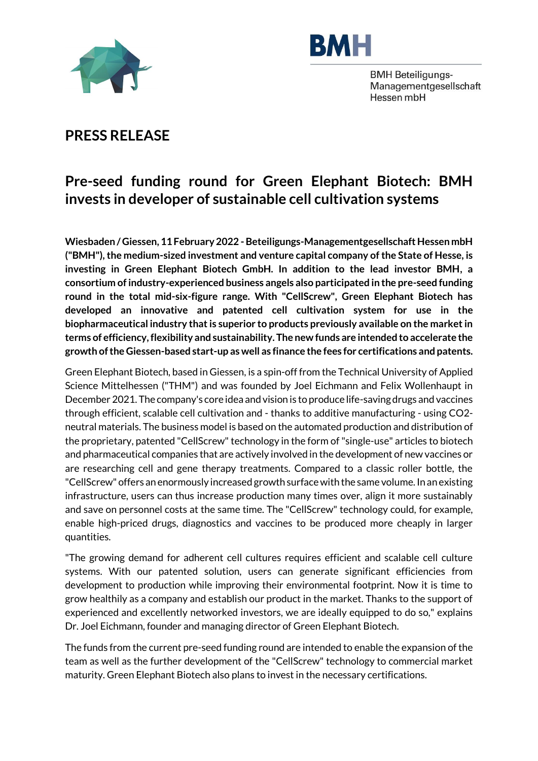



**BMH Beteiligungs-**Managementgesellschaft Hessen mbH

## **PRESS RELEASE**

## **Pre-seed funding round for Green Elephant Biotech: BMH invests in developer of sustainable cell cultivation systems**

Wiesbaden / Giessen, 11 February 2022 - Beteiligungs-Managementgesellschaft Hessen mbH **("BMH"), the medium-sized investment and venture capital company of the State of Hesse, is investing in Green Elephant Biotech GmbH. In addition to the lead investor BMH, a consortium of industry-experienced business angels also participated in the pre-seed funding round in the total mid-six-figure range. With "CellScrew", Green Elephant Biotech has developed an innovative and patented cell cultivation system for use in the biopharmaceutical industry that is superior to products previously available on the market in terms of efficiency, flexibility and sustainability. The new funds are intended to accelerate the growth of the Giessen-based start-up as well as finance the fees for certifications and patents.** 

Green Elephant Biotech, based in Giessen, is a spin-off from the Technical University of Applied Science Mittelhessen ("THM") and was founded by Joel Eichmann and Felix Wollenhaupt in December 2021. The company's core idea and vision is to produce life-saving drugs and vaccines through efficient, scalable cell cultivation and - thanks to additive manufacturing - using CO2 neutral materials. The business model is based on the automated production and distribution of the proprietary, patented "CellScrew" technology in the form of "single-use" articles to biotech and pharmaceutical companies that are actively involved in the development of new vaccines or are researching cell and gene therapy treatments. Compared to a classic roller bottle, the "CellScrew" offers an enormously increased growth surface with the same volume. In an existing infrastructure, users can thus increase production many times over, align it more sustainably and save on personnel costs at the same time. The "CellScrew" technology could, for example, enable high-priced drugs, diagnostics and vaccines to be produced more cheaply in larger quantities.

"The growing demand for adherent cell cultures requires efficient and scalable cell culture systems. With our patented solution, users can generate significant efficiencies from development to production while improving their environmental footprint. Now it is time to grow healthily as a company and establish our product in the market. Thanks to the support of experienced and excellently networked investors, we are ideally equipped to do so," explains Dr. Joel Eichmann, founder and managing director of Green Elephant Biotech.

The funds from the current pre-seed funding round are intended to enable the expansion of the team as well as the further development of the "CellScrew" technology to commercial market maturity. Green Elephant Biotech also plans to invest in the necessary certifications.